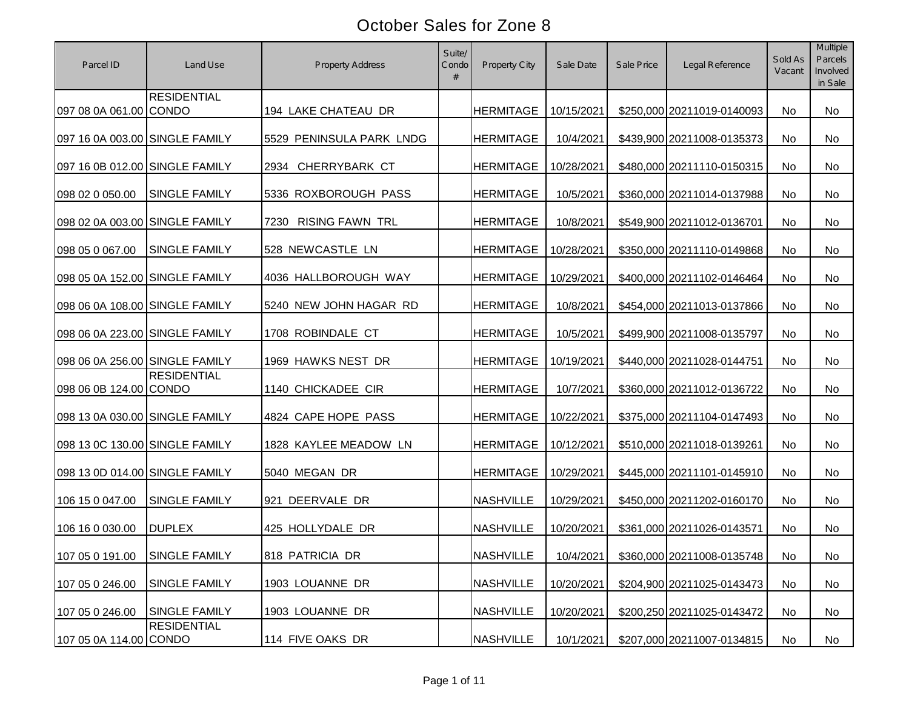| Parcel ID                      | Land Use             | <b>Property Address</b>        | Suite/<br>Condo<br># | Property City    | Sale Date  | Sale Price | Legal Reference            | Sold As<br>Vacant | Multiple<br>Parcels<br>Involved<br>in Sale |
|--------------------------------|----------------------|--------------------------------|----------------------|------------------|------------|------------|----------------------------|-------------------|--------------------------------------------|
| 097 08 0A 061.00 CONDO         | <b>RESIDENTIAL</b>   | 194 LAKE CHATEAU DR            |                      | <b>HERMITAGE</b> | 10/15/2021 |            | \$250,000 20211019-0140093 | No                | No                                         |
| 097 16 0A 003.00 SINGLE FAMILY |                      | 5529 PENINSULA PARK LNDG       |                      | <b>HERMITAGE</b> | 10/4/2021  |            | \$439,900 20211008-0135373 | No                | <b>No</b>                                  |
| 097 16 0B 012.00 SINGLE FAMILY |                      | <b>CHERRYBARK CT</b><br>2934   |                      | <b>HERMITAGE</b> | 10/28/2021 |            | \$480,000 20211110-0150315 | No                | No                                         |
| 098 02 0 050.00                | <b>SINGLE FAMILY</b> | 5336 ROXBOROUGH PASS           |                      | <b>HERMITAGE</b> | 10/5/2021  |            | \$360,000 20211014-0137988 | No                | <b>No</b>                                  |
| 098 02 0A 003.00 SINGLE FAMILY |                      | <b>RISING FAWN TRL</b><br>7230 |                      | <b>HERMITAGE</b> | 10/8/2021  |            | \$549,900 20211012-0136701 | No                | No                                         |
| 098 05 0 067.00                | <b>SINGLE FAMILY</b> | 528 NEWCASTLE LN               |                      | <b>HERMITAGE</b> | 10/28/2021 |            | \$350,000 20211110-0149868 | No                | No                                         |
| 098 05 0A 152.00 SINGLE FAMILY |                      | 4036 HALLBOROUGH WAY           |                      | <b>HERMITAGE</b> | 10/29/2021 |            | \$400,000 20211102-0146464 | No                | No                                         |
| 098 06 0A 108.00 SINGLE FAMILY |                      | 5240 NEW JOHN HAGAR RD         |                      | <b>HERMITAGE</b> | 10/8/2021  |            | \$454,000 20211013-0137866 | No                | No                                         |
| 098 06 0A 223.00 SINGLE FAMILY |                      | 1708 ROBINDALE CT              |                      | <b>HERMITAGE</b> | 10/5/2021  |            | \$499,900 20211008-0135797 | No                | No                                         |
| 098 06 0A 256.00 SINGLE FAMILY |                      | 1969 HAWKS NEST DR             |                      | <b>HERMITAGE</b> | 10/19/2021 |            | \$440,000 20211028-0144751 | No                | No                                         |
| 098 06 0B 124.00 CONDO         | <b>RESIDENTIAL</b>   | 1140 CHICKADEE CIR             |                      | <b>HERMITAGE</b> | 10/7/2021  |            | \$360,000 20211012-0136722 | No                | No                                         |
| 098 13 0A 030.00 SINGLE FAMILY |                      | 4824 CAPE HOPE PASS            |                      | <b>HERMITAGE</b> | 10/22/2021 |            | \$375,000 20211104-0147493 | No                | No                                         |
| 098 13 0C 130.00 SINGLE FAMILY |                      | 1828 KAYLEE MEADOW LN          |                      | <b>HERMITAGE</b> | 10/12/2021 |            | \$510,000 20211018-0139261 | No                | No                                         |
| 098 13 0D 014.00 SINGLE FAMILY |                      | 5040 MEGAN DR                  |                      | <b>HERMITAGE</b> | 10/29/2021 |            | \$445,000 20211101-0145910 | No                | No                                         |
| 106 15 0 047.00                | <b>SINGLE FAMILY</b> | 921 DEERVALE DR                |                      | <b>NASHVILLE</b> | 10/29/2021 |            | \$450,000 20211202-0160170 | No                | No                                         |
| 106 16 0 030.00                | <b>DUPLEX</b>        | 425 HOLLYDALE DR               |                      | <b>NASHVILLE</b> | 10/20/2021 |            | \$361,000 20211026-0143571 | No                | No                                         |
| 107 05 0 191.00                | SINGLE FAMILY        | 818 PATRICIA DR                |                      | <b>NASHVILLE</b> | 10/4/2021  |            | \$360,000 20211008-0135748 | No                | No                                         |
| 107 05 0 246.00                | <b>SINGLE FAMILY</b> | 1903 LOUANNE DR                |                      | <b>NASHVILLE</b> | 10/20/2021 |            | \$204,900 20211025-0143473 | No                | No                                         |
| 107 05 0 246.00                | SINGLE FAMILY        | 1903 LOUANNE DR                |                      | <b>NASHVILLE</b> | 10/20/2021 |            | \$200,250 20211025-0143472 | No                | No                                         |
| 107 05 0A 114.00 CONDO         | <b>RESIDENTIAL</b>   | 114 FIVE OAKS DR               |                      | <b>NASHVILLE</b> | 10/1/2021  |            | \$207,000 20211007-0134815 | No                | No                                         |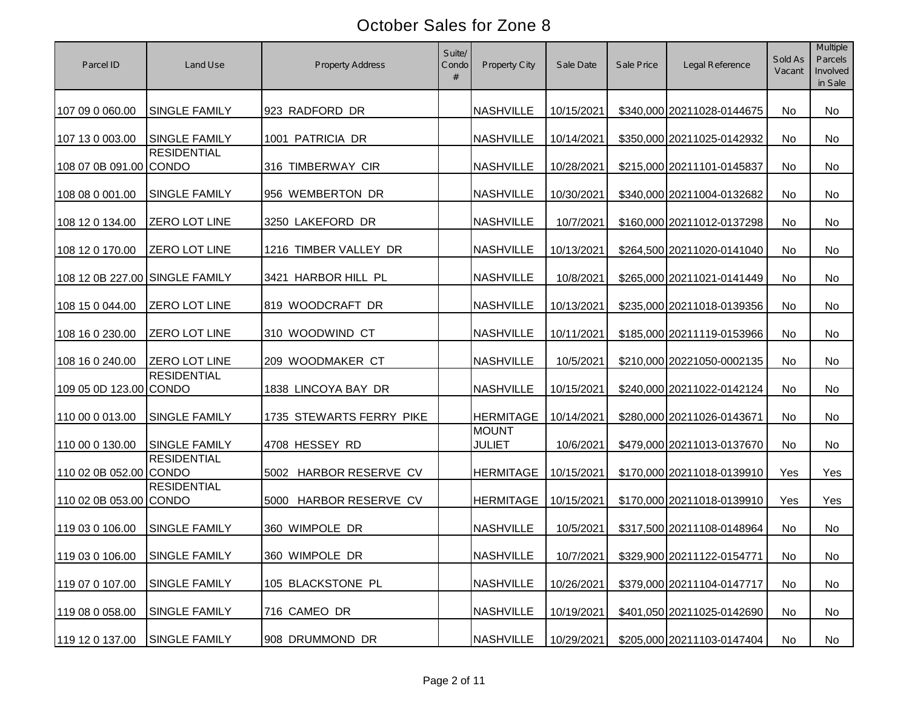| Parcel ID                      | Land Use             | <b>Property Address</b>   | Suite/<br>Condo<br># | Property City                 | Sale Date  | Sale Price | Legal Reference            | Sold As<br>Vacant | <b>Multiple</b><br>Parcels<br>Involved<br>in Sale |
|--------------------------------|----------------------|---------------------------|----------------------|-------------------------------|------------|------------|----------------------------|-------------------|---------------------------------------------------|
| 107 09 0 060.00                | <b>SINGLE FAMILY</b> | 923 RADFORD DR            |                      | <b>NASHVILLE</b>              | 10/15/2021 |            | \$340,000 20211028-0144675 | No                | No                                                |
| 107 13 0 003.00                | <b>SINGLE FAMILY</b> | 1001 PATRICIA DR          |                      | <b>NASHVILLE</b>              | 10/14/2021 |            | \$350,000 20211025-0142932 | No                | No                                                |
| 108 07 0B 091.00 CONDO         | <b>RESIDENTIAL</b>   | 316 TIMBERWAY CIR         |                      | <b>NASHVILLE</b>              | 10/28/2021 |            | \$215,000 20211101-0145837 | No                | No                                                |
| 108 08 0 001.00                | <b>SINGLE FAMILY</b> | 956 WEMBERTON DR          |                      | <b>NASHVILLE</b>              | 10/30/2021 |            | \$340,000 20211004-0132682 | No                | <b>No</b>                                         |
| 108 12 0 134.00                | <b>ZERO LOT LINE</b> | 3250 LAKEFORD DR          |                      | <b>NASHVILLE</b>              | 10/7/2021  |            | \$160,000 20211012-0137298 | No                | No                                                |
| 108 12 0 170.00                | <b>ZERO LOT LINE</b> | 1216 TIMBER VALLEY DR     |                      | <b>NASHVILLE</b>              | 10/13/2021 |            | \$264,500 20211020-0141040 | No                | No                                                |
| 108 12 0B 227.00 SINGLE FAMILY |                      | 3421 HARBOR HILL PL       |                      | <b>NASHVILLE</b>              | 10/8/2021  |            | \$265,000 20211021-0141449 | No                | No                                                |
| 108 15 0 044.00                | <b>ZERO LOT LINE</b> | 819 WOODCRAFT DR          |                      | <b>NASHVILLE</b>              | 10/13/2021 |            | \$235,000 20211018-0139356 | No                | No                                                |
| 108 16 0 230.00                | <b>ZERO LOT LINE</b> | 310 WOODWIND CT           |                      | <b>NASHVILLE</b>              | 10/11/2021 |            | \$185,000 20211119-0153966 | No                | No                                                |
| 108 16 0 240.00                | <b>ZERO LOT LINE</b> | 209 WOODMAKER CT          |                      | <b>NASHVILLE</b>              | 10/5/2021  |            | \$210,000 20221050-0002135 | No                | <b>No</b>                                         |
| 109 05 0D 123.00 CONDO         | <b>RESIDENTIAL</b>   | 1838 LINCOYA BAY DR       |                      | <b>NASHVILLE</b>              | 10/15/2021 |            | \$240,000 20211022-0142124 | No                | No                                                |
| 110 00 0 013.00                | <b>SINGLE FAMILY</b> | 1735 STEWARTS FERRY PIKE  |                      | <b>HERMITAGE</b>              | 10/14/2021 |            | \$280,000 20211026-0143671 | No                | No                                                |
| 110 00 0 130.00                | <b>SINGLE FAMILY</b> | 4708 HESSEY RD            |                      | <b>MOUNT</b><br><b>JULIET</b> | 10/6/2021  |            | \$479,000 20211013-0137670 | No                | No                                                |
| 110 02 0B 052.00 CONDO         | <b>RESIDENTIAL</b>   | HARBOR RESERVE CV<br>5002 |                      | <b>HERMITAGE</b>              | 10/15/2021 |            | \$170,000 20211018-0139910 | Yes               | Yes                                               |
| 110 02 0B 053.00 CONDO         | <b>RESIDENTIAL</b>   | HARBOR RESERVE CV<br>5000 |                      | <b>HERMITAGE</b>              | 10/15/2021 |            | \$170,000 20211018-0139910 | Yes               | Yes                                               |
| 119 03 0 106.00                | <b>SINGLE FAMILY</b> | 360 WIMPOLE DR            |                      | <b>NASHVILLE</b>              | 10/5/2021  |            | \$317,500 20211108-0148964 | No                | No                                                |
| 119 03 0 106.00 SINGLE FAMILY  |                      | 360 WIMPOLE DR            |                      | <b>NASHVILLE</b>              | 10/7/2021  |            | \$329,900 20211122-0154771 | No                | No                                                |
| 119 07 0 107.00                | <b>SINGLE FAMILY</b> | 105 BLACKSTONE PL         |                      | <b>NASHVILLE</b>              | 10/26/2021 |            | \$379,000 20211104-0147717 | No                | No                                                |
| 119 08 0 058.00                | <b>SINGLE FAMILY</b> | 716 CAMEO DR              |                      | <b>NASHVILLE</b>              | 10/19/2021 |            | \$401,050 20211025-0142690 | No                | No                                                |
| 119 12 0 137.00                | <b>SINGLE FAMILY</b> | 908 DRUMMOND DR           |                      | <b>NASHVILLE</b>              | 10/29/2021 |            | \$205,000 20211103-0147404 | No                | No                                                |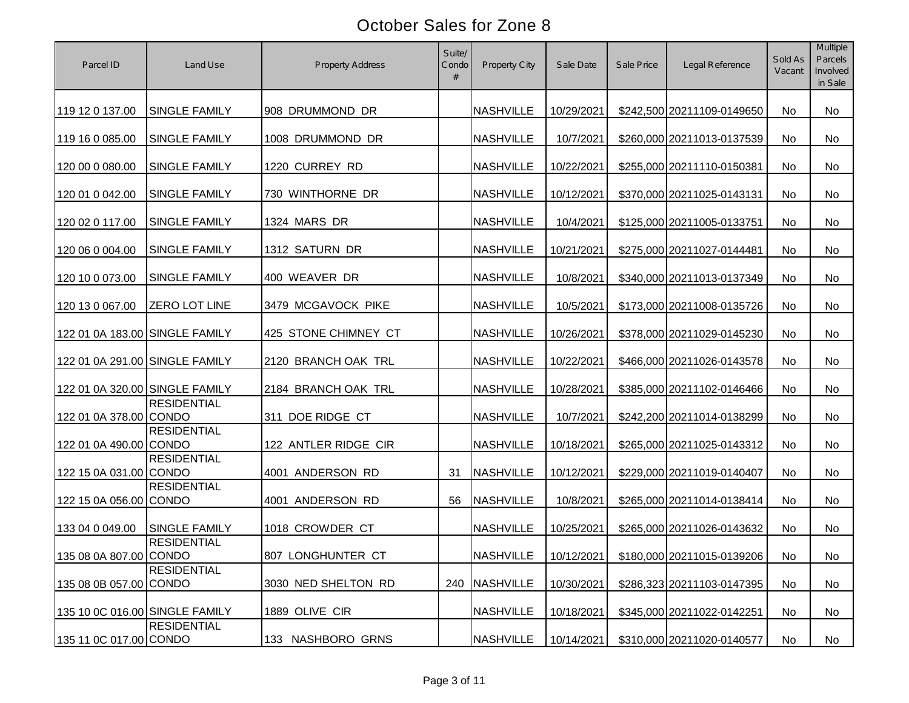| Parcel ID                      | Land Use             | <b>Property Address</b> | Suite/<br>Condo<br># | Property City          | Sale Date  | Sale Price | Legal Reference            | Sold As<br>Vacant | Multiple<br><b>Parcels</b><br>Involved<br>in Sale |
|--------------------------------|----------------------|-------------------------|----------------------|------------------------|------------|------------|----------------------------|-------------------|---------------------------------------------------|
| 119 12 0 137.00                | <b>SINGLE FAMILY</b> | 908 DRUMMOND DR         |                      | <b>NASHVILLE</b>       | 10/29/2021 |            | \$242,500 20211109-0149650 | No                | No                                                |
| 119 16 0 085.00                | <b>SINGLE FAMILY</b> | 1008 DRUMMOND DR        |                      | <b>NASHVILLE</b>       | 10/7/2021  |            | \$260,000 20211013-0137539 | No                | <b>No</b>                                         |
| 120 00 0 080.00                | <b>SINGLE FAMILY</b> | 1220 CURREY RD          |                      | <b>NASHVILLE</b>       | 10/22/2021 |            | \$255,000 20211110-0150381 | No                | No                                                |
| 120 01 0 042.00                | <b>SINGLE FAMILY</b> | 730 WINTHORNE DR        |                      | <b>NASHVILLE</b>       | 10/12/2021 |            | \$370,000 20211025-0143131 | No                | No                                                |
| 120 02 0 117.00                | <b>SINGLE FAMILY</b> | 1324 MARS DR            |                      | <b>NASHVILLE</b>       | 10/4/2021  |            | \$125,000 20211005-0133751 | No                | No                                                |
| 120 06 0 004.00                | <b>SINGLE FAMILY</b> | 1312 SATURN DR          |                      | <b>NASHVILLE</b>       | 10/21/2021 |            | \$275,000 20211027-0144481 | No                | No                                                |
| 120 10 0 073.00                | <b>SINGLE FAMILY</b> | 400 WEAVER DR           |                      | <b>NASHVILLE</b>       | 10/8/2021  |            | \$340,000 20211013-0137349 | No                | No                                                |
| 120 13 0 067.00                | <b>ZERO LOT LINE</b> | 3479 MCGAVOCK PIKE      |                      | <b>NASHVILLE</b>       | 10/5/2021  |            | \$173,000 20211008-0135726 | No                | No                                                |
| 122 01 0A 183.00 SINGLE FAMILY |                      | 425 STONE CHIMNEY CT    |                      | <b>NASHVILLE</b>       | 10/26/2021 |            | \$378,000 20211029-0145230 | No                | No                                                |
| 122 01 0A 291.00 SINGLE FAMILY |                      | 2120 BRANCH OAK TRL     |                      | <b>NASHVILLE</b>       | 10/22/2021 |            | \$466,000 20211026-0143578 | No                | No                                                |
| 122 01 0A 320.00 SINGLE FAMILY |                      | 2184 BRANCH OAK TRL     |                      | <b>NASHVILLE</b>       | 10/28/2021 |            | \$385,000 20211102-0146466 | No                | No                                                |
| 122 01 0A 378.00 CONDO         | <b>RESIDENTIAL</b>   | 311 DOE RIDGE CT        |                      | <b>NASHVILLE</b>       | 10/7/2021  |            | \$242,200 20211014-0138299 | No                | No                                                |
| 122 01 0A 490.00 CONDO         | <b>RESIDENTIAL</b>   | 122 ANTLER RIDGE CIR    |                      | <b>NASHVILLE</b>       | 10/18/2021 |            | \$265,000 20211025-0143312 | No                | No                                                |
| 122 15 0A 031.00 CONDO         | <b>RESIDENTIAL</b>   | 4001 ANDERSON RD        | 31                   | <b>NASHVILLE</b>       | 10/12/2021 |            | \$229,000 20211019-0140407 | <b>No</b>         | No                                                |
| 122 15 0A 056.00 CONDO         | <b>RESIDENTIAL</b>   | 4001 ANDERSON RD        | 56                   | <b>NASHVILLE</b>       | 10/8/2021  |            | \$265,000 20211014-0138414 | No                | No                                                |
| 133 04 0 049.00                | <b>SINGLE FAMILY</b> | 1018 CROWDER CT         |                      | <b>NASHVILLE</b>       | 10/25/2021 |            | \$265,000 20211026-0143632 | <b>No</b>         | No                                                |
| 135 08 0A 807.00 CONDO         | <b>RESIDENTIAL</b>   | 807 LONGHUNTER CT       |                      | NASHVILLE   10/12/2021 |            |            | \$180,000 20211015-0139206 | No                | No                                                |
| 135 08 0B 057.00 CONDO         | <b>RESIDENTIAL</b>   | 3030 NED SHELTON RD     |                      | 240 NASHVILLE          | 10/30/2021 |            | \$286,323 20211103-0147395 | No                | No                                                |
| 135 10 0C 016.00 SINGLE FAMILY |                      | 1889 OLIVE CIR          |                      | <b>NASHVILLE</b>       | 10/18/2021 |            | \$345,000 20211022-0142251 | No                | No                                                |
| 135 11 0C 017.00 CONDO         | <b>RESIDENTIAL</b>   | 133 NASHBORO GRNS       |                      | <b>NASHVILLE</b>       | 10/14/2021 |            | \$310,000 20211020-0140577 | No                | No                                                |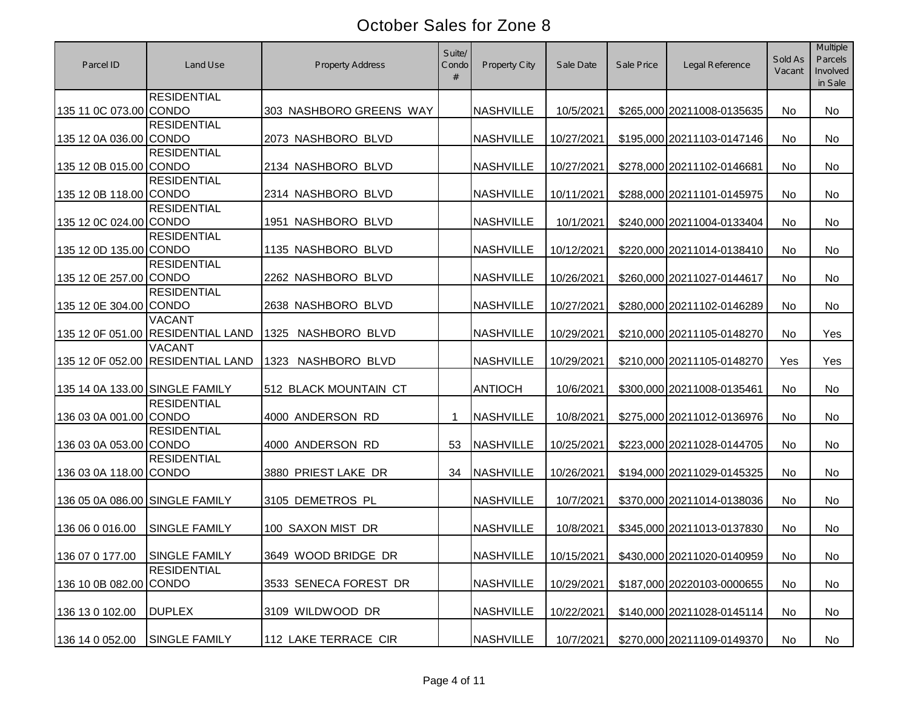| Parcel ID                      | Land Use                                           | <b>Property Address</b> | Suite/<br>Condo<br># | <b>Property City</b> | Sale Date  | Sale Price | Legal Reference            | Sold As<br>Vacant | Multiple<br>Parcels<br>Involved<br>in Sale |
|--------------------------------|----------------------------------------------------|-------------------------|----------------------|----------------------|------------|------------|----------------------------|-------------------|--------------------------------------------|
| 135 11 0C 073.00 CONDO         | <b>RESIDENTIAL</b>                                 | 303 NASHBORO GREENS WAY |                      | <b>NASHVILLE</b>     | 10/5/2021  |            | \$265,000 20211008-0135635 | No                | No                                         |
| 135 12 0A 036.00 CONDO         | <b>RESIDENTIAL</b>                                 | 2073 NASHBORO BLVD      |                      | <b>NASHVILLE</b>     | 10/27/2021 |            | \$195,000 20211103-0147146 | No                | <b>No</b>                                  |
| 135 12 0B 015.00 CONDO         | <b>RESIDENTIAL</b>                                 | 2134 NASHBORO BLVD      |                      | <b>NASHVILLE</b>     | 10/27/2021 |            | \$278,000 20211102-0146681 | No                | No                                         |
| 135 12 0B 118.00 CONDO         | <b>RESIDENTIAL</b>                                 | 2314 NASHBORO BLVD      |                      | <b>NASHVILLE</b>     | 10/11/2021 |            | \$288,000 20211101-0145975 | No                | <b>No</b>                                  |
| 135 12 0C 024.00 CONDO         | <b>RESIDENTIAL</b>                                 | 1951 NASHBORO BLVD      |                      | <b>NASHVILLE</b>     | 10/1/2021  |            | \$240,000 20211004-0133404 | No                | No                                         |
| 135 12 0D 135.00 CONDO         | <b>RESIDENTIAL</b>                                 | 1135 NASHBORO BLVD      |                      | <b>NASHVILLE</b>     | 10/12/2021 |            | \$220,000 20211014-0138410 | No                | No                                         |
| 135 12 0E 257.00 CONDO         | <b>RESIDENTIAL</b>                                 | 2262 NASHBORO BLVD      |                      | <b>NASHVILLE</b>     | 10/26/2021 |            | \$260,000 20211027-0144617 | No                | No                                         |
| 135 12 0E 304.00 CONDO         | <b>RESIDENTIAL</b>                                 | 2638 NASHBORO BLVD      |                      | <b>NASHVILLE</b>     | 10/27/2021 |            | \$280,000 20211102-0146289 | No                | No                                         |
|                                | <b>VACANT</b><br>135 12 0F 051.00 RESIDENTIAL LAND | NASHBORO BLVD<br>1325   |                      | <b>NASHVILLE</b>     | 10/29/2021 |            | \$210,000 20211105-0148270 | No                | Yes                                        |
|                                | <b>VACANT</b><br>135 12 0F 052.00 RESIDENTIAL LAND | NASHBORO BLVD<br>1323   |                      | <b>NASHVILLE</b>     | 10/29/2021 |            | \$210,000 20211105-0148270 | Yes               | Yes                                        |
| 135 14 0A 133.00 SINGLE FAMILY |                                                    | 512 BLACK MOUNTAIN CT   |                      | <b>ANTIOCH</b>       | 10/6/2021  |            | \$300,000 20211008-0135461 | No                | No                                         |
| 136 03 0A 001.00 CONDO         | <b>RESIDENTIAL</b>                                 | 4000 ANDERSON RD        | -1                   | <b>NASHVILLE</b>     | 10/8/2021  |            | \$275,000 20211012-0136976 | No                | No                                         |
| 136 03 0A 053.00 CONDO         | <b>RESIDENTIAL</b>                                 | 4000 ANDERSON RD        | 53                   | <b>NASHVILLE</b>     | 10/25/2021 |            | \$223,000 20211028-0144705 | No                | No                                         |
| 136 03 0A 118.00 CONDO         | <b>RESIDENTIAL</b>                                 | 3880 PRIEST LAKE DR     | 34                   | <b>NASHVILLE</b>     | 10/26/2021 |            | \$194,000 20211029-0145325 | No                | No                                         |
| 136 05 0A 086.00 SINGLE FAMILY |                                                    | 3105 DEMETROS PL        |                      | <b>NASHVILLE</b>     | 10/7/2021  |            | \$370,000 20211014-0138036 | No                | No                                         |
| 136 06 0 016.00                | <b>SINGLE FAMILY</b>                               | 100 SAXON MIST DR       |                      | <b>NASHVILLE</b>     | 10/8/2021  |            | \$345,000 20211013-0137830 | No                | No                                         |
| 136 07 0 177.00 SINGLE FAMILY  |                                                    | 3649 WOOD BRIDGE DR     |                      | <b>NASHVILLE</b>     | 10/15/2021 |            | \$430,000 20211020-0140959 | No                | No                                         |
| 136 10 0B 082.00 CONDO         | <b>RESIDENTIAL</b>                                 | 3533 SENECA FOREST DR   |                      | <b>NASHVILLE</b>     | 10/29/2021 |            | \$187,000 20220103-0000655 | No                | No                                         |
| 136 13 0 102.00                | <b>DUPLEX</b>                                      | 3109 WILDWOOD DR        |                      | <b>NASHVILLE</b>     | 10/22/2021 |            | \$140,000 20211028-0145114 | No                | No                                         |
| 136 14 0 052.00                | <b>SINGLE FAMILY</b>                               | 112 LAKE TERRACE CIR    |                      | <b>NASHVILLE</b>     | 10/7/2021  |            | \$270,000 20211109-0149370 | No                | No                                         |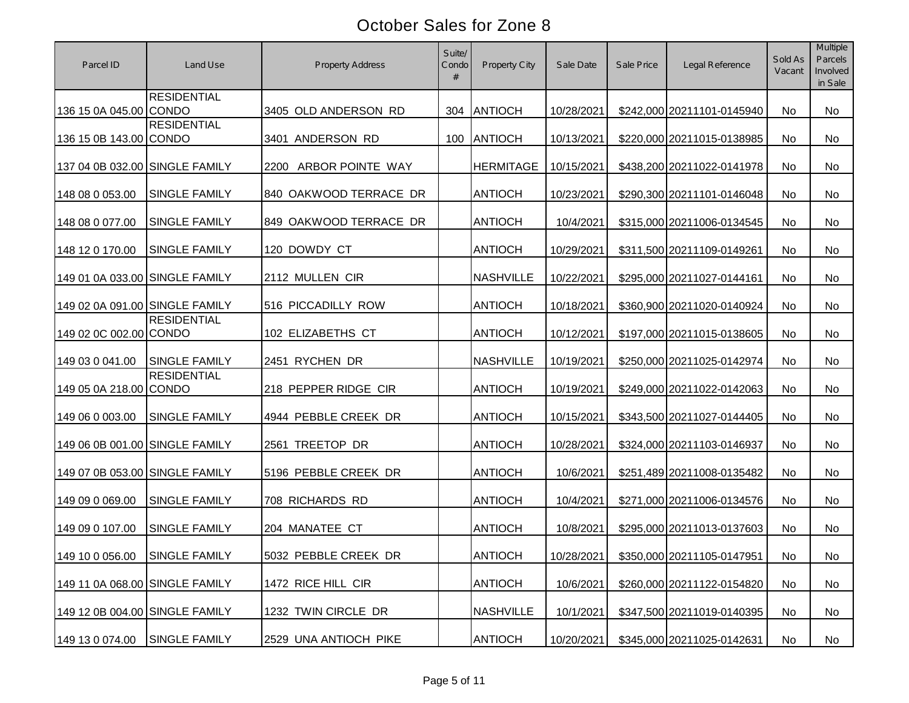| Parcel ID                      | Land Use                           | <b>Property Address</b>  | Suite/<br>Condo<br># | <b>Property City</b> | Sale Date  | Sale Price | Legal Reference            | Sold As<br>Vacant | Multiple<br>Parcels<br>Involved<br>in Sale |
|--------------------------------|------------------------------------|--------------------------|----------------------|----------------------|------------|------------|----------------------------|-------------------|--------------------------------------------|
| 136 15 0A 045.00 CONDO         | <b>RESIDENTIAL</b>                 | 3405 OLD ANDERSON RD     |                      | 304 ANTIOCH          | 10/28/2021 |            | \$242,000 20211101-0145940 | No                | <b>No</b>                                  |
| 136 15 0B 143.00 CONDO         | <b>RESIDENTIAL</b>                 | 3401 ANDERSON RD         | 100                  | <b>ANTIOCH</b>       | 10/13/2021 |            | \$220,000 20211015-0138985 | No                | No                                         |
| 137 04 0B 032.00 SINGLE FAMILY |                                    | ARBOR POINTE WAY<br>2200 |                      | <b>HERMITAGE</b>     | 10/15/2021 |            | \$438,200 20211022-0141978 | No                | No                                         |
| 148 08 0 053.00                | <b>SINGLE FAMILY</b>               | 840 OAKWOOD TERRACE DR   |                      | <b>ANTIOCH</b>       | 10/23/2021 |            | \$290,300 20211101-0146048 | No                | No                                         |
| 148 08 0 077.00                | SINGLE FAMILY                      | 849 OAKWOOD TERRACE DR   |                      | <b>ANTIOCH</b>       | 10/4/2021  |            | \$315,000 20211006-0134545 | No                | <b>No</b>                                  |
| 148 12 0 170.00                | SINGLE FAMILY                      | 120 DOWDY CT             |                      | <b>ANTIOCH</b>       | 10/29/2021 |            | \$311,500 20211109-0149261 | No                | <b>No</b>                                  |
| 149 01 0A 033.00 SINGLE FAMILY |                                    | 2112 MULLEN CIR          |                      | <b>NASHVILLE</b>     | 10/22/2021 |            | \$295,000 20211027-0144161 | No                | No                                         |
| 149 02 0A 091.00 SINGLE FAMILY |                                    | 516 PICCADILLY ROW       |                      | <b>ANTIOCH</b>       | 10/18/2021 |            | \$360,900 20211020-0140924 | No                | No                                         |
| 149 02 0C 002.00 CONDO         | <b>RESIDENTIAL</b>                 | 102 ELIZABETHS CT        |                      | <b>ANTIOCH</b>       | 10/12/2021 |            | \$197,000 20211015-0138605 | No                | No                                         |
| 149 03 0 041.00                | <b>SINGLE FAMILY</b>               | 2451 RYCHEN DR           |                      | <b>NASHVILLE</b>     | 10/19/2021 |            | \$250,000 20211025-0142974 | No                | No                                         |
| 149 05 0A 218.00               | <b>RESIDENTIAL</b><br><b>CONDO</b> | 218 PEPPER RIDGE CIR     |                      | <b>ANTIOCH</b>       | 10/19/2021 |            | \$249,000 20211022-0142063 | No                | No                                         |
| 149 06 0 003.00                | <b>SINGLE FAMILY</b>               | 4944 PEBBLE CREEK DR     |                      | <b>ANTIOCH</b>       | 10/15/2021 |            | \$343,500 20211027-0144405 | No                | <b>No</b>                                  |
| 149 06 0B 001.00 SINGLE FAMILY |                                    | 2561 TREETOP DR          |                      | <b>ANTIOCH</b>       | 10/28/2021 |            | \$324,000 20211103-0146937 | No                | No                                         |
| 149 07 0B 053.00 SINGLE FAMILY |                                    | 5196 PEBBLE CREEK DR     |                      | <b>ANTIOCH</b>       | 10/6/2021  |            | \$251,489 20211008-0135482 | No                | No                                         |
| 149 09 0 069.00                | <b>SINGLE FAMILY</b>               | 708 RICHARDS RD          |                      | <b>ANTIOCH</b>       | 10/4/2021  |            | \$271,000 20211006-0134576 | No                | No                                         |
| 149 09 0 107.00                | <b>SINGLE FAMILY</b>               | 204 MANATEE CT           |                      | <b>ANTIOCH</b>       | 10/8/2021  |            | \$295,000 20211013-0137603 | No                | No                                         |
| 149 10 0 056.00                | SINGLE FAMILY                      | 5032 PEBBLE CREEK DR     |                      | <b>ANTIOCH</b>       | 10/28/2021 |            | \$350,000 20211105-0147951 | No                | No                                         |
| 149 11 0A 068.00 SINGLE FAMILY |                                    | 1472 RICE HILL CIR       |                      | <b>ANTIOCH</b>       | 10/6/2021  |            | \$260,000 20211122-0154820 | No                | No                                         |
| 149 12 0B 004.00 SINGLE FAMILY |                                    | 1232 TWIN CIRCLE DR      |                      | <b>NASHVILLE</b>     | 10/1/2021  |            | \$347,500 20211019-0140395 | No                | No                                         |
| 149 13 0 074.00                | SINGLE FAMILY                      | 2529 UNA ANTIOCH PIKE    |                      | <b>ANTIOCH</b>       | 10/20/2021 |            | \$345,000 20211025-0142631 | No                | No                                         |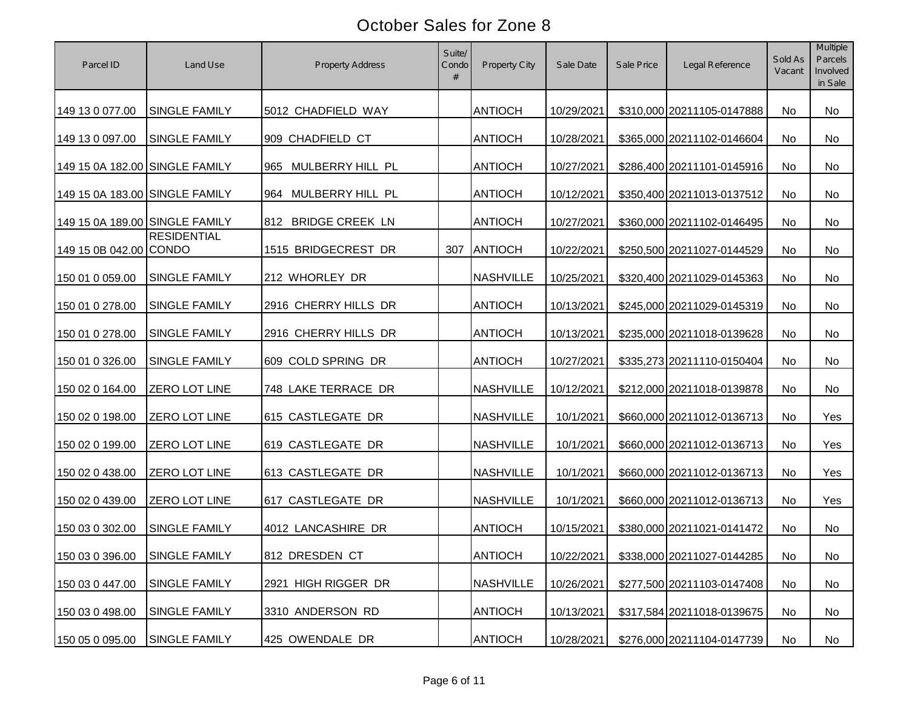| Parcel ID                      | Land Use                      | <b>Property Address</b> | Suite/<br>Condo<br># | Property City    | Sale Date  | Sale Price | Legal Reference            | Sold As<br>Vacant | Multiple<br>Parcels<br>Involved<br>in Sale |
|--------------------------------|-------------------------------|-------------------------|----------------------|------------------|------------|------------|----------------------------|-------------------|--------------------------------------------|
| 149 13 0 077.00                | <b>SINGLE FAMILY</b>          | 5012 CHADFIELD WAY      |                      | <b>ANTIOCH</b>   | 10/29/2021 |            | \$310,000 20211105-0147888 | No                | No                                         |
| 149 13 0 097.00                | <b>SINGLE FAMILY</b>          | 909 CHADFIELD CT        |                      | <b>ANTIOCH</b>   | 10/28/2021 |            | \$365,000 20211102-0146604 | No                | No                                         |
| 149 15 0A 182.00 SINGLE FAMILY |                               | MULBERRY HILL PL<br>965 |                      | <b>ANTIOCH</b>   | 10/27/2021 |            | \$286,400 20211101-0145916 | No                | No                                         |
| 149 15 0A 183.00 SINGLE FAMILY |                               | 964 MULBERRY HILL PL    |                      | <b>ANTIOCH</b>   | 10/12/2021 |            | \$350,400 20211013-0137512 | No                | No                                         |
| 149 15 0A 189.00 SINGLE FAMILY |                               | 812 BRIDGE CREEK LN     |                      | <b>ANTIOCH</b>   | 10/27/2021 |            | \$360,000 20211102-0146495 | No                | No                                         |
| 149 15 0B 042.00 CONDO         | <b>RESIDENTIAL</b>            | 1515 BRIDGECREST DR     | 307                  | ANTIOCH          | 10/22/2021 |            | \$250,500 20211027-0144529 | No                | No                                         |
| 150 01 0 059.00                | <b>SINGLE FAMILY</b>          | 212 WHORLEY DR          |                      | <b>NASHVILLE</b> | 10/25/2021 |            | \$320,400 20211029-0145363 | No                | No                                         |
| 150 01 0 278.00                | <b>SINGLE FAMILY</b>          | 2916 CHERRY HILLS DR    |                      | <b>ANTIOCH</b>   | 10/13/2021 |            | \$245,000 20211029-0145319 | No                | No                                         |
| 150 01 0 278.00                | <b>SINGLE FAMILY</b>          | 2916 CHERRY HILLS DR    |                      | <b>ANTIOCH</b>   | 10/13/2021 |            | \$235,000 20211018-0139628 | No                | No                                         |
| 150 01 0 326.00                | <b>SINGLE FAMILY</b>          | 609 COLD SPRING DR      |                      | <b>ANTIOCH</b>   | 10/27/2021 |            | \$335,273 20211110-0150404 | No                | No                                         |
| 150 02 0 164.00                | <b>ZERO LOT LINE</b>          | 748 LAKE TERRACE DR     |                      | <b>NASHVILLE</b> | 10/12/2021 |            | \$212,000 20211018-0139878 | No                | No                                         |
| 150 02 0 198.00                | ZERO LOT LINE                 | 615 CASTLEGATE DR       |                      | <b>NASHVILLE</b> | 10/1/2021  |            | \$660,000 20211012-0136713 | No                | Yes                                        |
| 150 02 0 199.00                | <b>ZERO LOT LINE</b>          | 619 CASTLEGATE DR       |                      | <b>NASHVILLE</b> | 10/1/2021  |            | \$660,000 20211012-0136713 | No                | Yes                                        |
| 150 02 0 438.00                | <b>ZERO LOT LINE</b>          | 613 CASTLEGATE DR       |                      | <b>NASHVILLE</b> | 10/1/2021  |            | \$660,000 20211012-0136713 | No                | Yes                                        |
| 150 02 0 439.00                | ZERO LOT LINE                 | 617 CASTLEGATE DR       |                      | <b>NASHVILLE</b> | 10/1/2021  |            | \$660,000 20211012-0136713 | No                | Yes                                        |
| 150 03 0 302.00                | <b>SINGLE FAMILY</b>          | 4012 LANCASHIRE DR      |                      | <b>ANTIOCH</b>   | 10/15/2021 |            | \$380,000 20211021-0141472 | No                | No                                         |
|                                | 150 03 0 396.00 SINGLE FAMILY | 812 DRESDEN CT          |                      | <b>ANTIOCH</b>   | 10/22/2021 |            | \$338,000 20211027-0144285 | No                | No                                         |
| 150 03 0 447.00                | <b>SINGLE FAMILY</b>          | 2921 HIGH RIGGER DR     |                      | <b>NASHVILLE</b> | 10/26/2021 |            | \$277,500 20211103-0147408 | No                | No                                         |
| 150 03 0 498.00                | <b>SINGLE FAMILY</b>          | 3310 ANDERSON RD        |                      | <b>ANTIOCH</b>   | 10/13/2021 |            | \$317,584 20211018-0139675 | No                | No                                         |
| 150 05 0 095.00                | <b>SINGLE FAMILY</b>          | 425 OWENDALE DR         |                      | <b>ANTIOCH</b>   | 10/28/2021 |            | \$276,000 20211104-0147739 | No                | No                                         |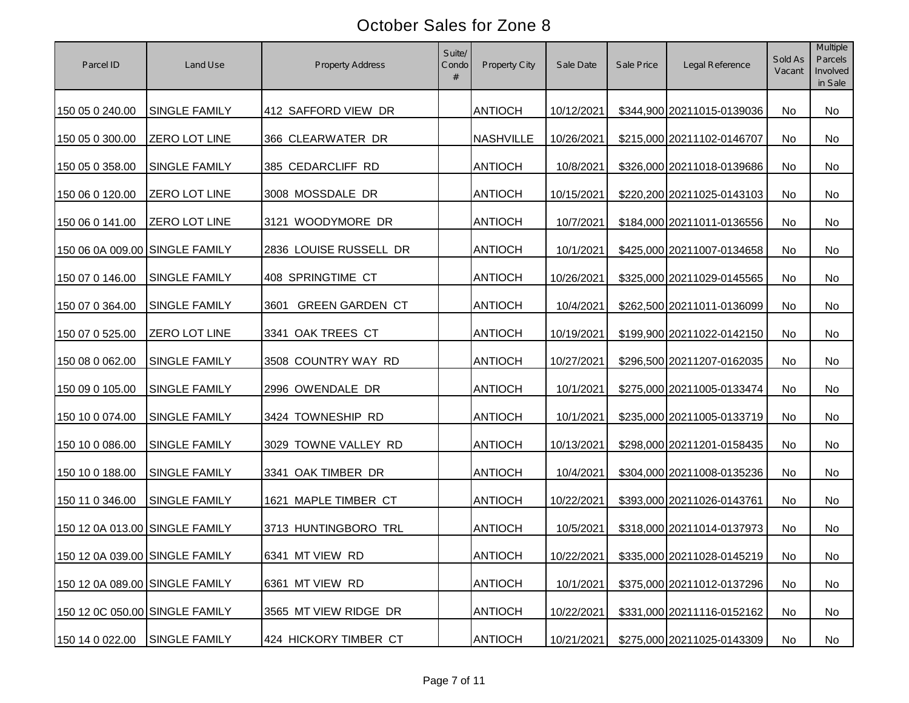| Parcel ID                      | Land Use             | <b>Property Address</b>        | Suite/<br>Condo<br># | Property City    | Sale Date  | Sale Price | Legal Reference            | Sold As<br>Vacant | Multiple<br>Parcels<br>Involved<br>in Sale |
|--------------------------------|----------------------|--------------------------------|----------------------|------------------|------------|------------|----------------------------|-------------------|--------------------------------------------|
| 150 05 0 240.00                | <b>SINGLE FAMILY</b> | 412 SAFFORD VIEW DR            |                      | <b>ANTIOCH</b>   | 10/12/2021 |            | \$344,900 20211015-0139036 | No                | No                                         |
| 150 05 0 300.00                | <b>ZERO LOT LINE</b> | 366 CLEARWATER DR              |                      | <b>NASHVILLE</b> | 10/26/2021 |            | \$215,000 20211102-0146707 | No                | <b>No</b>                                  |
| 150 05 0 358.00                | <b>SINGLE FAMILY</b> | 385 CEDARCLIFF RD              |                      | <b>ANTIOCH</b>   | 10/8/2021  |            | \$326,000 20211018-0139686 | No                | <b>No</b>                                  |
| 150 06 0 120.00                | <b>ZERO LOT LINE</b> | 3008 MOSSDALE DR               |                      | <b>ANTIOCH</b>   | 10/15/2021 |            | \$220,200 20211025-0143103 | No                | No                                         |
| 150 06 0 141.00                | <b>ZERO LOT LINE</b> | 3121 WOODYMORE DR              |                      | <b>ANTIOCH</b>   | 10/7/2021  |            | \$184,000 20211011-0136556 | No                | <b>No</b>                                  |
| 150 06 0A 009.00 SINGLE FAMILY |                      | 2836 LOUISE RUSSELL DR         |                      | <b>ANTIOCH</b>   | 10/1/2021  |            | \$425,000 20211007-0134658 | No                | <b>No</b>                                  |
| 150 07 0 146.00                | <b>SINGLE FAMILY</b> | 408 SPRINGTIME CT              |                      | <b>ANTIOCH</b>   | 10/26/2021 |            | \$325,000 20211029-0145565 | No                | No                                         |
| 150 07 0 364.00                | <b>SINGLE FAMILY</b> | <b>GREEN GARDEN CT</b><br>3601 |                      | <b>ANTIOCH</b>   | 10/4/2021  |            | \$262,500 20211011-0136099 | No                | <b>No</b>                                  |
| 150 07 0 525.00                | <b>ZERO LOT LINE</b> | 3341 OAK TREES CT              |                      | <b>ANTIOCH</b>   | 10/19/2021 |            | \$199,900 20211022-0142150 | <b>No</b>         | <b>No</b>                                  |
| 150 08 0 062.00                | <b>SINGLE FAMILY</b> | 3508 COUNTRY WAY RD            |                      | <b>ANTIOCH</b>   | 10/27/2021 |            | \$296,500 20211207-0162035 | No                | No                                         |
| 150 09 0 105.00                | SINGLE FAMILY        | 2996 OWENDALE DR               |                      | <b>ANTIOCH</b>   | 10/1/2021  |            | \$275,000 20211005-0133474 | No                | No                                         |
| 150 10 0 074.00                | SINGLE FAMILY        | 3424 TOWNESHIP RD              |                      | <b>ANTIOCH</b>   | 10/1/2021  |            | \$235,000 20211005-0133719 | No                | No                                         |
| 150 10 0 086.00                | <b>SINGLE FAMILY</b> | 3029 TOWNE VALLEY RD           |                      | <b>ANTIOCH</b>   | 10/13/2021 |            | \$298,000 20211201-0158435 | No                | No                                         |
| 150 10 0 188.00                | SINGLE FAMILY        | 3341 OAK TIMBER DR             |                      | <b>ANTIOCH</b>   | 10/4/2021  |            | \$304,000 20211008-0135236 | No                | No                                         |
| 150 11 0 346.00                | <b>SINGLE FAMILY</b> | 1621 MAPLE TIMBER CT           |                      | <b>ANTIOCH</b>   | 10/22/2021 |            | \$393,000 20211026-0143761 | <b>No</b>         | No                                         |
| 150 12 0A 013.00 SINGLE FAMILY |                      | 3713 HUNTINGBORO TRL           |                      | <b>ANTIOCH</b>   | 10/5/2021  |            | \$318,000 20211014-0137973 | No                | No                                         |
| 150 12 0A 039.00 SINGLE FAMILY |                      | 6341 MT VIEW RD                |                      | <b>ANTIOCH</b>   | 10/22/2021 |            | \$335,000 20211028-0145219 | No                | No                                         |
| 150 12 0A 089.00 SINGLE FAMILY |                      | 6361 MT VIEW RD                |                      | <b>ANTIOCH</b>   | 10/1/2021  |            | \$375,000 20211012-0137296 | No                | No                                         |
| 150 12 0C 050.00 SINGLE FAMILY |                      | 3565 MT VIEW RIDGE DR          |                      | <b>ANTIOCH</b>   | 10/22/2021 |            | \$331,000 20211116-0152162 | No                | No                                         |
| 150 14 0 022.00                | <b>SINGLE FAMILY</b> | 424 HICKORY TIMBER CT          |                      | <b>ANTIOCH</b>   | 10/21/2021 |            | \$275,000 20211025-0143309 | No                | No                                         |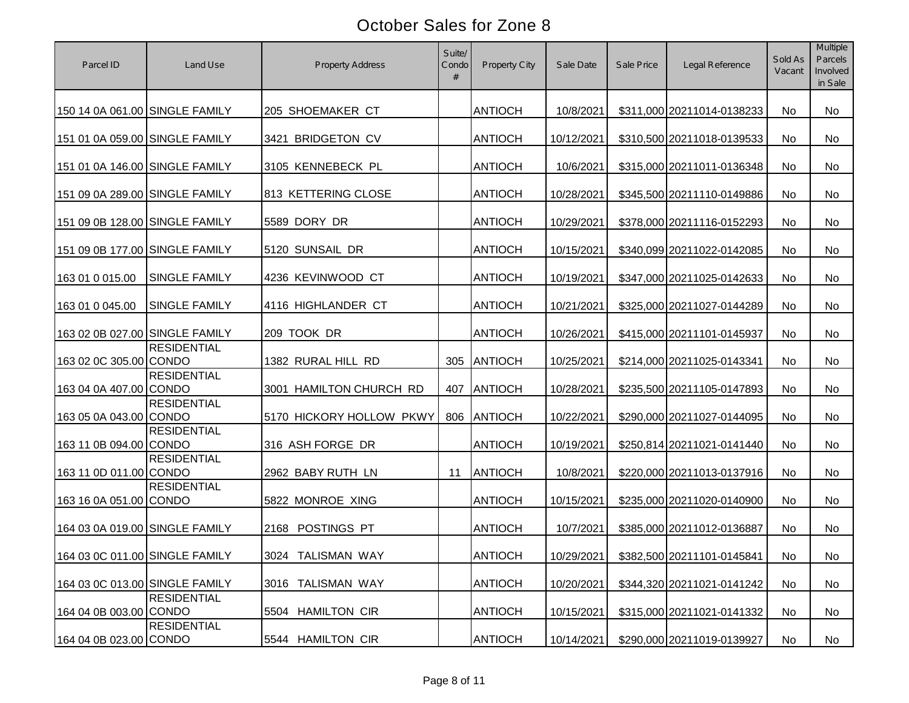| Parcel ID                      | Land Use             | <b>Property Address</b>     | Suite/<br>Condo<br># | Property City  | Sale Date  | Sale Price | Legal Reference            | Sold As<br>Vacant | Multiple<br>Parcels<br>Involved<br>in Sale |
|--------------------------------|----------------------|-----------------------------|----------------------|----------------|------------|------------|----------------------------|-------------------|--------------------------------------------|
| 150 14 0A 061.00 SINGLE FAMILY |                      | 205 SHOEMAKER CT            |                      | <b>ANTIOCH</b> | 10/8/2021  |            | \$311,000 20211014-0138233 | No                | <b>No</b>                                  |
| 151 01 0A 059.00 SINGLE FAMILY |                      | 3421 BRIDGETON CV           |                      | <b>ANTIOCH</b> | 10/12/2021 |            | \$310,500 20211018-0139533 | No                | <b>No</b>                                  |
| 151 01 0A 146.00 SINGLE FAMILY |                      | 3105 KENNEBECK PL           |                      | <b>ANTIOCH</b> | 10/6/2021  |            | \$315,000 20211011-0136348 | No                | <b>No</b>                                  |
| 151 09 0A 289.00 SINGLE FAMILY |                      | 813 KETTERING CLOSE         |                      | <b>ANTIOCH</b> | 10/28/2021 |            | \$345,500 20211110-0149886 | No                | No.                                        |
| 151 09 0B 128.00 SINGLE FAMILY |                      | 5589 DORY DR                |                      | <b>ANTIOCH</b> | 10/29/2021 |            | \$378,000 20211116-0152293 | No                | <b>No</b>                                  |
| 151 09 0B 177.00 SINGLE FAMILY |                      | 5120 SUNSAIL DR             |                      | <b>ANTIOCH</b> | 10/15/2021 |            | \$340,099 20211022-0142085 | No                | <b>No</b>                                  |
| 163 01 0 015.00                | <b>SINGLE FAMILY</b> | 4236 KEVINWOOD CT           |                      | <b>ANTIOCH</b> | 10/19/2021 |            | \$347,000 20211025-0142633 | No                | No                                         |
| 163 01 0 045.00                | <b>SINGLE FAMILY</b> | 4116 HIGHLANDER CT          |                      | <b>ANTIOCH</b> | 10/21/2021 |            | \$325,000 20211027-0144289 | No                | <b>No</b>                                  |
| 163 02 0B 027.00 SINGLE FAMILY |                      | 209 TOOK DR                 |                      | <b>ANTIOCH</b> | 10/26/2021 |            | \$415,000 20211101-0145937 | No                | <b>No</b>                                  |
| 163 02 0C 305.00 CONDO         | <b>RESIDENTIAL</b>   | 1382 RURAL HILL RD          | 305                  | ANTIOCH        | 10/25/2021 |            | \$214,000 20211025-0143341 | No                | No                                         |
| 163 04 0A 407.00 CONDO         | <b>RESIDENTIAL</b>   | 3001 HAMILTON CHURCH RD     | 407                  | <b>ANTIOCH</b> | 10/28/2021 |            | \$235,500 20211105-0147893 | No                | No                                         |
| 163 05 0A 043.00 CONDO         | <b>RESIDENTIAL</b>   | 5170 HICKORY HOLLOW PKWY    | 806                  | ANTIOCH        | 10/22/2021 |            | \$290,000 20211027-0144095 | No                | <b>No</b>                                  |
| 163 11 0B 094.00 CONDO         | <b>RESIDENTIAL</b>   | 316 ASH FORGE DR            |                      | <b>ANTIOCH</b> | 10/19/2021 |            | \$250,814 20211021-0141440 | No                | No                                         |
| 163 11 0D 011.00 CONDO         | <b>RESIDENTIAL</b>   | 2962 BABY RUTH LN           | 11                   | <b>ANTIOCH</b> | 10/8/2021  |            | \$220,000 20211013-0137916 | No                | No                                         |
| 163 16 0A 051.00 CONDO         | <b>RESIDENTIAL</b>   | 5822 MONROE XING            |                      | <b>ANTIOCH</b> | 10/15/2021 |            | \$235,000 20211020-0140900 | No                | No                                         |
| 164 03 0A 019.00 SINGLE FAMILY |                      | POSTINGS PT<br>2168         |                      | <b>ANTIOCH</b> | 10/7/2021  |            | \$385,000 20211012-0136887 | No                | No                                         |
| 164 03 0C 011.00 SINGLE FAMILY |                      | 3024 TALISMAN WAY           |                      | <b>ANTIOCH</b> | 10/29/2021 |            | \$382,500 20211101-0145841 | No                | No                                         |
| 164 03 0C 013.00 SINGLE FAMILY |                      | 3016 TALISMAN WAY           |                      | <b>ANTIOCH</b> | 10/20/2021 |            | \$344,320 20211021-0141242 | No                | No                                         |
| 164 04 0B 003.00 CONDO         | <b>RESIDENTIAL</b>   | <b>HAMILTON CIR</b><br>5504 |                      | <b>ANTIOCH</b> | 10/15/2021 |            | \$315,000 20211021-0141332 | No                | No                                         |
| 164 04 0B 023.00 CONDO         | <b>RESIDENTIAL</b>   | 5544 HAMILTON CIR           |                      | <b>ANTIOCH</b> | 10/14/2021 |            | \$290,000 20211019-0139927 | No                | No                                         |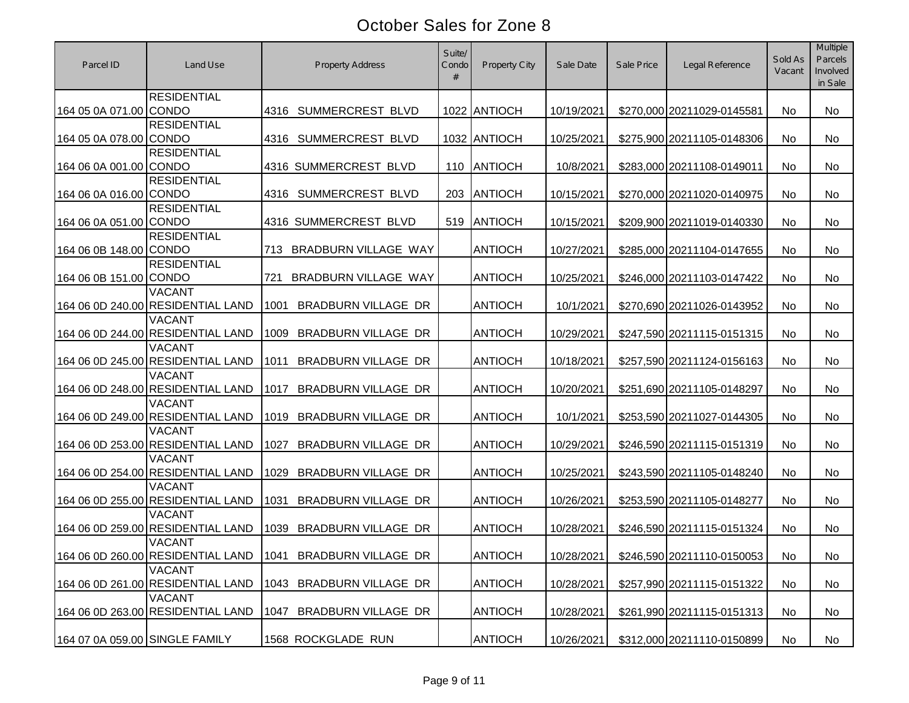| Parcel ID                      | Land Use                                           | <b>Property Address</b>                                      | Suite/<br>Condo<br># | <b>Property City</b> | Sale Date  | Sale Price | Legal Reference            | Sold As<br>Vacant | Multiple<br>Parcels<br>Involved<br>in Sale |
|--------------------------------|----------------------------------------------------|--------------------------------------------------------------|----------------------|----------------------|------------|------------|----------------------------|-------------------|--------------------------------------------|
| 164 05 0A 071.00 CONDO         | <b>RESIDENTIAL</b>                                 | SUMMERCREST BLVD<br>4316                                     |                      | 1022 ANTIOCH         | 10/19/2021 |            | \$270,000 20211029-0145581 | No                | <b>No</b>                                  |
| 164 05 0A 078.00 CONDO         | <b>RESIDENTIAL</b>                                 | SUMMERCREST BLVD<br>4316                                     |                      | 1032 ANTIOCH         | 10/25/2021 |            | \$275,900 20211105-0148306 | No                | <b>No</b>                                  |
| 164 06 0A 001.00 CONDO         | <b>RESIDENTIAL</b>                                 | 4316 SUMMERCREST BLVD                                        | 110                  | ANTIOCH              | 10/8/2021  |            | \$283,000 20211108-0149011 | No                | <b>No</b>                                  |
| 164 06 0A 016.00 CONDO         | <b>RESIDENTIAL</b>                                 | SUMMERCREST BLVD<br>4316                                     | 203                  | <b>ANTIOCH</b>       | 10/15/2021 |            | \$270,000 20211020-0140975 | No                | No                                         |
| 164 06 0A 051.00 CONDO         | <b>RESIDENTIAL</b>                                 | 4316 SUMMERCREST BLVD                                        | 519                  | ANTIOCH              | 10/15/2021 |            | \$209,900 20211019-0140330 | No                | <b>No</b>                                  |
| 164 06 0B 148.00 CONDO         | <b>RESIDENTIAL</b>                                 | BRADBURN VILLAGE WAY<br>713                                  |                      | <b>ANTIOCH</b>       | 10/27/2021 |            | \$285,000 20211104-0147655 | No                | <b>No</b>                                  |
| 164 06 0B 151.00 CONDO         | <b>RESIDENTIAL</b>                                 | 721<br>BRADBURN VILLAGE WAY                                  |                      | <b>ANTIOCH</b>       | 10/25/2021 |            | \$246,000 20211103-0147422 | No                | No                                         |
|                                | <b>VACANT</b><br>164 06 0D 240.00 RESIDENTIAL LAND | <b>BRADBURN VILLAGE DR</b><br>1001                           |                      | <b>ANTIOCH</b>       | 10/1/2021  |            | \$270,690 20211026-0143952 | No                | <b>No</b>                                  |
|                                | <b>VACANT</b><br>164 06 0D 244.00 RESIDENTIAL LAND | <b>BRADBURN VILLAGE DR</b><br>1009                           |                      | <b>ANTIOCH</b>       | 10/29/2021 |            | \$247,590 20211115-0151315 | No                | <b>No</b>                                  |
|                                | <b>VACANT</b><br>164 06 0D 245.00 RESIDENTIAL LAND | <b>BRADBURN VILLAGE DR</b><br>1011                           |                      | <b>ANTIOCH</b>       | 10/18/2021 |            | \$257,590 20211124-0156163 | No                | <b>No</b>                                  |
|                                | <b>VACANT</b><br>164 06 0D 248.00 RESIDENTIAL LAND | 1017<br>BRADBURN VILLAGE DR                                  |                      | <b>ANTIOCH</b>       | 10/20/2021 |            | \$251,690 20211105-0148297 | No                | No                                         |
|                                | <b>VACANT</b><br>164 06 0D 249.00 RESIDENTIAL LAND | <b>BRADBURN VILLAGE DR</b><br>1019                           |                      | <b>ANTIOCH</b>       | 10/1/2021  |            | \$253,590 20211027-0144305 | No                | <b>No</b>                                  |
|                                | VACANT<br>164 06 0D 253.00 RESIDENTIAL LAND        | <b>BRADBURN VILLAGE DR</b><br>1027                           |                      | <b>ANTIOCH</b>       | 10/29/2021 |            | \$246,590 20211115-0151319 | No                | No                                         |
|                                | <b>VACANT</b><br>164 06 0D 254.00 RESIDENTIAL LAND | <b>BRADBURN VILLAGE DR</b><br>1029                           |                      | <b>ANTIOCH</b>       | 10/25/2021 |            | \$243,590 20211105-0148240 | No                | <b>No</b>                                  |
|                                | <b>VACANT</b><br>164 06 0D 255.00 RESIDENTIAL LAND | 1031<br><b>BRADBURN VILLAGE DR</b>                           |                      | <b>ANTIOCH</b>       | 10/26/2021 |            | \$253,590 20211105-0148277 | No                | <b>No</b>                                  |
|                                | <b>VACANT</b><br>164 06 0D 259.00 RESIDENTIAL LAND | 1039<br><b>BRADBURN VILLAGE DR</b>                           |                      | <b>ANTIOCH</b>       | 10/28/2021 |            | \$246,590 20211115-0151324 | No                | No                                         |
|                                | <b>VACANT</b>                                      | 164 06 0D 260.00 RESIDENTIAL LAND   1041 BRADBURN VILLAGE DR |                      | <b>ANTIOCH</b>       | 10/28/2021 |            | \$246,590 20211110-0150053 | No                | No                                         |
|                                | <b>VACANT</b><br>164 06 0D 261.00 RESIDENTIAL LAND | <b>BRADBURN VILLAGE DR</b><br>1043                           |                      | <b>ANTIOCH</b>       | 10/28/2021 |            | \$257,990 20211115-0151322 | No                | No                                         |
|                                | <b>VACANT</b><br>164 06 0D 263.00 RESIDENTIAL LAND | <b>BRADBURN VILLAGE DR</b><br>1047                           |                      | <b>ANTIOCH</b>       | 10/28/2021 |            | \$261,990 20211115-0151313 | No                | No                                         |
| 164 07 0A 059.00 SINGLE FAMILY |                                                    | 1568 ROCKGLADE RUN                                           |                      | <b>ANTIOCH</b>       | 10/26/2021 |            | \$312,000 20211110-0150899 | No                | No                                         |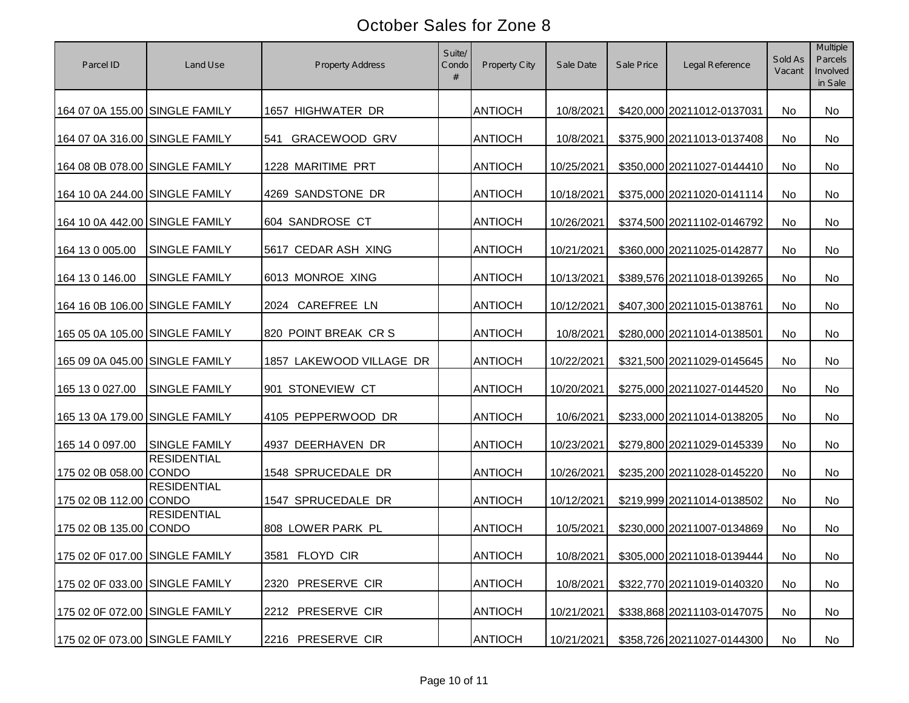| Parcel ID                      | Land Use             | <b>Property Address</b>     | Suite/<br>Condo<br># | Property City  | Sale Date  | Sale Price | Legal Reference            | Sold As<br>Vacant | Multiple<br>Parcels<br>Involved<br>in Sale |
|--------------------------------|----------------------|-----------------------------|----------------------|----------------|------------|------------|----------------------------|-------------------|--------------------------------------------|
| 164 07 0A 155.00 SINGLE FAMILY |                      | 1657 HIGHWATER DR           |                      | <b>ANTIOCH</b> | 10/8/2021  |            | \$420,000 20211012-0137031 | No                | No                                         |
| 164 07 0A 316.00 SINGLE FAMILY |                      | <b>GRACEWOOD GRV</b><br>541 |                      | <b>ANTIOCH</b> | 10/8/2021  |            | \$375,900 20211013-0137408 | No                | No.                                        |
| 164 08 0B 078.00 SINGLE FAMILY |                      | 1228 MARITIME PRT           |                      | <b>ANTIOCH</b> | 10/25/2021 |            | \$350,000 20211027-0144410 | No                | No.                                        |
| 164 10 0A 244.00 SINGLE FAMILY |                      | 4269 SANDSTONE DR           |                      | <b>ANTIOCH</b> | 10/18/2021 |            | \$375,000 20211020-0141114 | No                | No.                                        |
| 164 10 0A 442.00 SINGLE FAMILY |                      | 604 SANDROSE CT             |                      | <b>ANTIOCH</b> | 10/26/2021 |            | \$374,500 20211102-0146792 | No                | No                                         |
| 164 13 0 005.00                | <b>SINGLE FAMILY</b> | 5617 CEDAR ASH XING         |                      | <b>ANTIOCH</b> | 10/21/2021 |            | \$360,000 20211025-0142877 | No                | No                                         |
| 164 13 0 146.00                | <b>SINGLE FAMILY</b> | 6013 MONROE XING            |                      | <b>ANTIOCH</b> | 10/13/2021 |            | \$389,576 20211018-0139265 | No                | <b>No</b>                                  |
| 164 16 0B 106.00 SINGLE FAMILY |                      | 2024 CAREFREE LN            |                      | <b>ANTIOCH</b> | 10/12/2021 |            | \$407,300 20211015-0138761 | No                | No                                         |
| 165 05 0A 105.00 SINGLE FAMILY |                      | 820 POINT BREAK CR S        |                      | <b>ANTIOCH</b> | 10/8/2021  |            | \$280,000 20211014-0138501 | No                | <b>No</b>                                  |
| 165 09 0A 045.00 SINGLE FAMILY |                      | 1857 LAKEWOOD VILLAGE DR    |                      | <b>ANTIOCH</b> | 10/22/2021 |            | \$321,500 20211029-0145645 | <b>No</b>         | <b>No</b>                                  |
| 165 13 0 027.00                | <b>SINGLE FAMILY</b> | 901 STONEVIEW CT            |                      | <b>ANTIOCH</b> | 10/20/2021 |            | \$275,000 20211027-0144520 | No                | No                                         |
| 165 13 0A 179.00 SINGLE FAMILY |                      | 4105 PEPPERWOOD DR          |                      | <b>ANTIOCH</b> | 10/6/2021  |            | \$233,000 20211014-0138205 | No                | No                                         |
| 165 14 0 097.00                | <b>SINGLE FAMILY</b> | 4937 DEERHAVEN DR           |                      | <b>ANTIOCH</b> | 10/23/2021 |            | \$279,800 20211029-0145339 | No                | No                                         |
| 175 02 0B 058.00 CONDO         | <b>RESIDENTIAL</b>   | 1548 SPRUCEDALE DR          |                      | <b>ANTIOCH</b> | 10/26/2021 |            | \$235,200 20211028-0145220 | No                | <b>No</b>                                  |
| 175 02 0B 112.00 CONDO         | <b>RESIDENTIAL</b>   | 1547 SPRUCEDALE DR          |                      | <b>ANTIOCH</b> | 10/12/2021 |            | \$219,999 20211014-0138502 | No                | <b>No</b>                                  |
| 175 02 0B 135.00 CONDO         | <b>RESIDENTIAL</b>   | 808 LOWER PARK PL           |                      | <b>ANTIOCH</b> | 10/5/2021  |            | \$230,000 20211007-0134869 | No                | No                                         |
| 175 02 0F 017.00 SINGLE FAMILY |                      | 3581 FLOYD CIR              |                      | <b>ANTIOCH</b> | 10/8/2021  |            | \$305,000 20211018-0139444 | No                | No                                         |
| 175 02 0F 033.00 SINGLE FAMILY |                      | 2320 PRESERVE CIR           |                      | <b>ANTIOCH</b> | 10/8/2021  |            | \$322,770 20211019-0140320 | No                | No                                         |
| 175 02 0F 072.00 SINGLE FAMILY |                      | 2212 PRESERVE CIR           |                      | <b>ANTIOCH</b> | 10/21/2021 |            | \$338,868 20211103-0147075 | No                | No                                         |
| 175 02 0F 073.00 SINGLE FAMILY |                      | 2216 PRESERVE CIR           |                      | <b>ANTIOCH</b> | 10/21/2021 |            | \$358,726 20211027-0144300 | No                | No                                         |